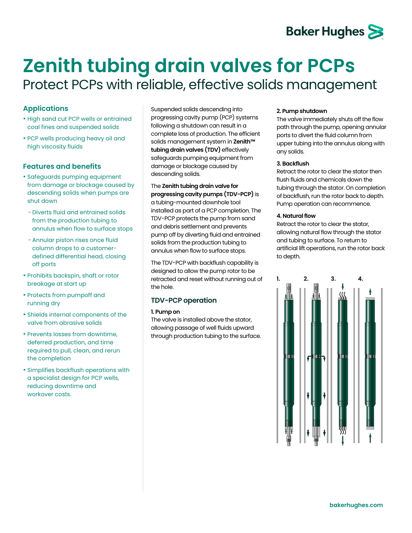# **Baker Hughes**

# **Zenith tubing drain valves for PCPs**  Protect PCPs with reliable, effective solids management

# **Applications**

- High sand cut PCP wells or entrained coal fines and suspended solids
- PCP wells producing heavy oil and high viscosity fluids

### **Features and benefits**

- Safeguards pumping equipment from damage or blockage caused by descending solids when pumps are shut down
- − Diverts fluid and entrained solids from the production tubing to annulus when flow to surface stops
- − Annular piston rises once fluid column drops to a customerdefined differential head, closing off ports
- Prohibits backspin, shaft or rotor breakage at start up
- Protects from pumpoff and running dry
- Shields internal components of the valve from abrasive solids
- Prevents losses from downtime, deferred production, and time required to pull, clean, and rerun the completion
- Simplifies backflush operations with a specialist design for PCP wells, reducing downtime and workover costs.

Suspended solids descending into progressing cavity pump (PCP) systems following a shutdown can result in a complete loss of production. The efficient solids management system in **Zenith™ tubing drain valves (TDV)** effectively safeguards pumping equipment from damage or blockage caused by descending solids.

The **Zenith tubing drain valve for progressing cavity pumps (TDV-PCP)** is a tubing-mounted downhole tool installed as part of a PCP completion. The TDV-PCP protects the pump from sand and debris settlement and prevents pump off by diverting fluid and entrained solids from the production tubing to annulus when flow to surface stops.

The TDV-PCP with backflush capability is designed to allow the pump rotor to be retracted and reset without running out of the hole.

## **TDV-PCP operation**

#### **1. Pump on**

The valve is installed above the stator, allowing passage of well fluids upward through production tubing to the surface.

#### **2. Pump shutdown**

The valve immediately shuts off the flow path through the pump, opening annular ports to divert the fluid column from upper tubing into the annulus along with any solids.

#### **3. Backflush**

Retract the rotor to clear the stator then flush fluids and chemicals down the tubing through the stator. On completion of backflush, run the rotor back to depth. Pump operation can recommence.

#### **4. Natural flow**

Retract the rotor to clear the stator, allowing natural flow through the stator and tubing to surface. To return to artificial lift operations, run the rotor back to depth.